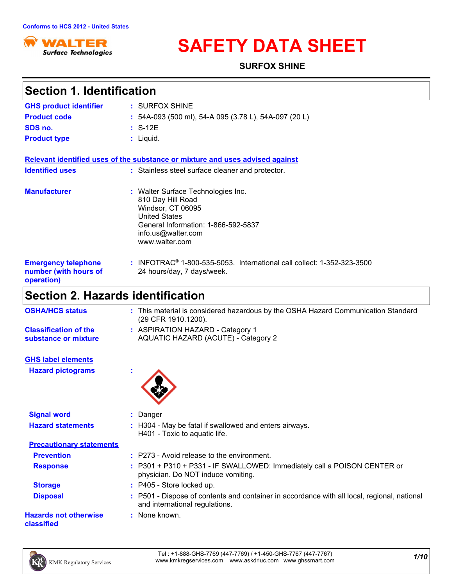

# **SAFETY DATA SHEET**

**SURFOX SHINE**

| <b>Section 1. Identification</b>                                  |                                                                                                                                                                                     |
|-------------------------------------------------------------------|-------------------------------------------------------------------------------------------------------------------------------------------------------------------------------------|
| <b>GHS product identifier</b>                                     | : SURFOX SHINE                                                                                                                                                                      |
| <b>Product code</b>                                               | : 54A-093 (500 ml), 54-A 095 (3.78 L), 54A-097 (20 L)                                                                                                                               |
| SDS no.                                                           | $: S-12E$                                                                                                                                                                           |
| <b>Product type</b>                                               | $:$ Liquid.                                                                                                                                                                         |
|                                                                   |                                                                                                                                                                                     |
|                                                                   | Relevant identified uses of the substance or mixture and uses advised against                                                                                                       |
| <b>Identified uses</b>                                            | : Stainless steel surface cleaner and protector.                                                                                                                                    |
| <b>Manufacturer</b>                                               | : Walter Surface Technologies Inc.<br>810 Day Hill Road<br>Windsor, CT 06095<br><b>United States</b><br>General Information: 1-866-592-5837<br>info.us@walter.com<br>www.walter.com |
| <b>Emergency telephone</b><br>number (with hours of<br>operation) | : INFOTRAC <sup>®</sup> 1-800-535-5053. International call collect: 1-352-323-3500<br>24 hours/day, 7 days/week.                                                                    |
| <b>Section 2. Hazards identification</b>                          |                                                                                                                                                                                     |
| <b>OSHA/HCS status</b>                                            | : This material is considered hazardous by the OSHA Hazard Communication Standard<br>(29 CFR 1910.1200).                                                                            |
| <b>Classification of the</b><br>substance or mixture              | : ASPIRATION HAZARD - Category 1<br>AQUATIC HAZARD (ACUTE) - Category 2                                                                                                             |
| <b>GHS label elements</b>                                         |                                                                                                                                                                                     |
| <b>Hazard pictograms</b>                                          |                                                                                                                                                                                     |
| <b>Signal word</b>                                                | : Danger                                                                                                                                                                            |
| <b>Hazard statements</b>                                          | : H304 - May be fatal if swallowed and enters airways.<br>H401 - Toxic to aquatic life.                                                                                             |
| <b>Precautionary statements</b>                                   |                                                                                                                                                                                     |
| <b>Prevention</b>                                                 | : P273 - Avoid release to the environment.                                                                                                                                          |
| <b>Response</b>                                                   | : P301 + P310 + P331 - IF SWALLOWED: Immediately call a POISON CENTER or<br>physician. Do NOT induce vomiting.                                                                      |
| <b>Storage</b>                                                    | : P405 - Store locked up.                                                                                                                                                           |
| <b>Disposal</b>                                                   | : P501 - Dispose of contents and container in accordance with all local, regional, national<br>and international regulations.                                                       |
| <b>Hazards not otherwise</b><br>classified                        | : None known.                                                                                                                                                                       |

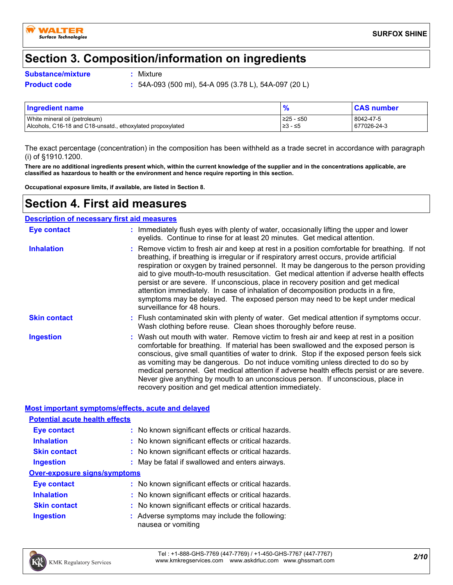

### **Section 3. Composition/information on ingredients**

#### **Substance/mixture :**

: Mixture

**Product code :** 54A-093 (500 ml), 54-A 095 (3.78 L), 54A-097 (20 L)

| <b>Ingredient name</b>                                     |            | <b>CAS number</b> |
|------------------------------------------------------------|------------|-------------------|
| White mineral oil (petroleum)                              | 1≥25 - ≤50 | 8042-47-5         |
| Alcohols, C16-18 and C18-unsatd., ethoxylated propoxylated | ≥3 - ≤5    | 677026-24-3       |

The exact percentage (concentration) in the composition has been withheld as a trade secret in accordance with paragraph (i) of §1910.1200.

**There are no additional ingredients present which, within the current knowledge of the supplier and in the concentrations applicable, are classified as hazardous to health or the environment and hence require reporting in this section.**

**Occupational exposure limits, if available, are listed in Section 8.**

### **Section 4. First aid measures**

#### **Description of necessary first aid measures**

| Eye contact         | : Immediately flush eyes with plenty of water, occasionally lifting the upper and lower<br>eyelids. Continue to rinse for at least 20 minutes. Get medical attention.                                                                                                                                                                                                                                                                                                                                                                                                                                                                                                      |
|---------------------|----------------------------------------------------------------------------------------------------------------------------------------------------------------------------------------------------------------------------------------------------------------------------------------------------------------------------------------------------------------------------------------------------------------------------------------------------------------------------------------------------------------------------------------------------------------------------------------------------------------------------------------------------------------------------|
| <b>Inhalation</b>   | : Remove victim to fresh air and keep at rest in a position comfortable for breathing. If not<br>breathing, if breathing is irregular or if respiratory arrest occurs, provide artificial<br>respiration or oxygen by trained personnel. It may be dangerous to the person providing<br>aid to give mouth-to-mouth resuscitation. Get medical attention if adverse health effects<br>persist or are severe. If unconscious, place in recovery position and get medical<br>attention immediately. In case of inhalation of decomposition products in a fire,<br>symptoms may be delayed. The exposed person may need to be kept under medical<br>surveillance for 48 hours. |
| <b>Skin contact</b> | : Flush contaminated skin with plenty of water. Get medical attention if symptoms occur.<br>Wash clothing before reuse. Clean shoes thoroughly before reuse.                                                                                                                                                                                                                                                                                                                                                                                                                                                                                                               |
| <b>Ingestion</b>    | : Wash out mouth with water. Remove victim to fresh air and keep at rest in a position<br>comfortable for breathing. If material has been swallowed and the exposed person is<br>conscious, give small quantities of water to drink. Stop if the exposed person feels sick<br>as vomiting may be dangerous. Do not induce vomiting unless directed to do so by<br>medical personnel. Get medical attention if adverse health effects persist or are severe.<br>Never give anything by mouth to an unconscious person. If unconscious, place in<br>recovery position and get medical attention immediately.                                                                 |

#### **Most important symptoms/effects, acute and delayed**

| <b>Potential acute health effects</b> |                                                                     |
|---------------------------------------|---------------------------------------------------------------------|
| Eye contact                           | : No known significant effects or critical hazards.                 |
| <b>Inhalation</b>                     | : No known significant effects or critical hazards.                 |
| <b>Skin contact</b>                   | : No known significant effects or critical hazards.                 |
| Ingestion                             | : May be fatal if swallowed and enters airways.                     |
| <b>Over-exposure signs/symptoms</b>   |                                                                     |
| Eye contact                           | : No known significant effects or critical hazards.                 |
| <b>Inhalation</b>                     | : No known significant effects or critical hazards.                 |
| <b>Skin contact</b>                   | : No known significant effects or critical hazards.                 |
| Ingestion                             | : Adverse symptoms may include the following:<br>nausea or vomiting |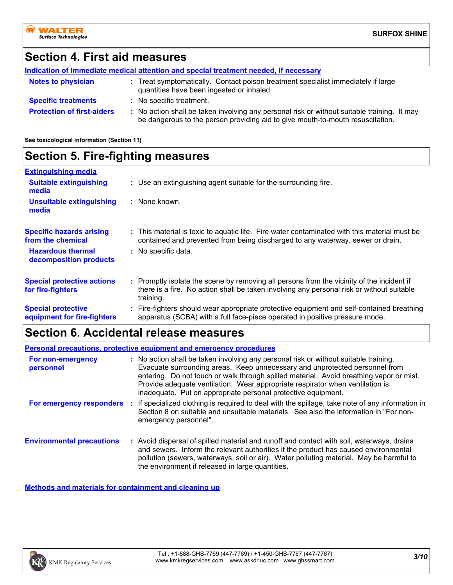### **Section 4. First aid measures**

|                                   | Indication of immediate medical attention and special treatment needed, if necessary                                                                                          |  |
|-----------------------------------|-------------------------------------------------------------------------------------------------------------------------------------------------------------------------------|--|
| <b>Notes to physician</b>         | : Treat symptomatically. Contact poison treatment specialist immediately if large<br>quantities have been ingested or inhaled.                                                |  |
| <b>Specific treatments</b>        | : No specific treatment.                                                                                                                                                      |  |
| <b>Protection of first-aiders</b> | : No action shall be taken involving any personal risk or without suitable training. It may<br>be dangerous to the person providing aid to give mouth-to-mouth resuscitation. |  |

**See toxicological information (Section 11)**

### **Section 5. Fire-fighting measures**

| <b>Extinguishing media</b>                               |                                                                                                                                                                                                     |
|----------------------------------------------------------|-----------------------------------------------------------------------------------------------------------------------------------------------------------------------------------------------------|
| <b>Suitable extinguishing</b><br>media                   | : Use an extinguishing agent suitable for the surrounding fire.                                                                                                                                     |
| <b>Unsuitable extinguishing</b><br>media                 | : None known.                                                                                                                                                                                       |
| <b>Specific hazards arising</b><br>from the chemical     | : This material is toxic to aquatic life. Fire water contaminated with this material must be<br>contained and prevented from being discharged to any waterway, sewer or drain.                      |
| <b>Hazardous thermal</b><br>decomposition products       | : No specific data.                                                                                                                                                                                 |
| <b>Special protective actions</b><br>for fire-fighters   | : Promptly isolate the scene by removing all persons from the vicinity of the incident if<br>there is a fire. No action shall be taken involving any personal risk or without suitable<br>training. |
| <b>Special protective</b><br>equipment for fire-fighters | : Fire-fighters should wear appropriate protective equipment and self-contained breathing<br>apparatus (SCBA) with a full face-piece operated in positive pressure mode.                            |

### **Section 6. Accidental release measures**

|                                  | <b>Personal precautions, protective equipment and emergency procedures</b>                                                                                                                                                                                                                                                                                                                                       |
|----------------------------------|------------------------------------------------------------------------------------------------------------------------------------------------------------------------------------------------------------------------------------------------------------------------------------------------------------------------------------------------------------------------------------------------------------------|
| For non-emergency<br>personnel   | : No action shall be taken involving any personal risk or without suitable training.<br>Evacuate surrounding areas. Keep unnecessary and unprotected personnel from<br>entering. Do not touch or walk through spilled material. Avoid breathing vapor or mist.<br>Provide adequate ventilation. Wear appropriate respirator when ventilation is<br>inadequate. Put on appropriate personal protective equipment. |
| For emergency responders         | If specialized clothing is required to deal with the spillage, take note of any information in<br>Section 8 on suitable and unsuitable materials. See also the information in "For non-<br>emergency personnel".                                                                                                                                                                                                 |
| <b>Environmental precautions</b> | : Avoid dispersal of spilled material and runoff and contact with soil, waterways, drains<br>and sewers. Inform the relevant authorities if the product has caused environmental<br>pollution (sewers, waterways, soil or air). Water polluting material. May be harmful to<br>the environment if released in large quantities.                                                                                  |

**Methods and materials for containment and cleaning up**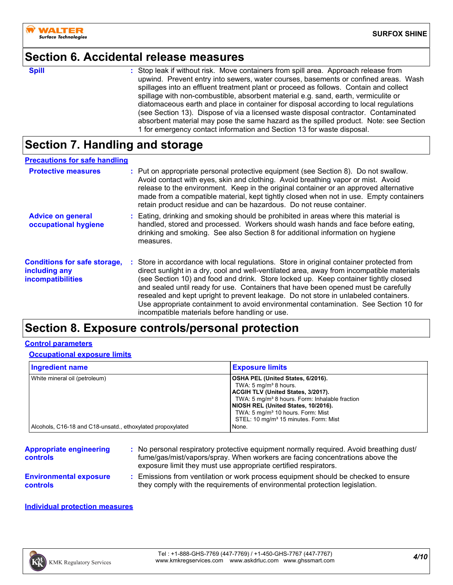

### **Section 6. Accidental release measures**

**Spill** Stop leak if without risk. Move containers from spill area. Approach release from spill upwind. Prevent entry into sewers, water courses, basements or confined areas. Wash spillages into an effluent treatment plant or proceed as follows. Contain and collect spillage with non-combustible, absorbent material e.g. sand, earth, vermiculite or diatomaceous earth and place in container for disposal according to local regulations (see Section 13). Dispose of via a licensed waste disposal contractor. Contaminated absorbent material may pose the same hazard as the spilled product. Note: see Section 1 for emergency contact information and Section 13 for waste disposal.

### **Section 7. Handling and storage**

### **Precautions for safe handling**

| <b>Protective measures</b>                                                       | : Put on appropriate personal protective equipment (see Section 8). Do not swallow.<br>Avoid contact with eyes, skin and clothing. Avoid breathing vapor or mist. Avoid<br>release to the environment. Keep in the original container or an approved alternative<br>made from a compatible material, kept tightly closed when not in use. Empty containers<br>retain product residue and can be hazardous. Do not reuse container.                                                                                                                                                                  |
|----------------------------------------------------------------------------------|-----------------------------------------------------------------------------------------------------------------------------------------------------------------------------------------------------------------------------------------------------------------------------------------------------------------------------------------------------------------------------------------------------------------------------------------------------------------------------------------------------------------------------------------------------------------------------------------------------|
| <b>Advice on general</b><br>occupational hygiene                                 | Eating, drinking and smoking should be prohibited in areas where this material is<br>handled, stored and processed. Workers should wash hands and face before eating,<br>drinking and smoking. See also Section 8 for additional information on hygiene<br>measures.                                                                                                                                                                                                                                                                                                                                |
| <b>Conditions for safe storage,</b><br>including any<br><b>incompatibilities</b> | : Store in accordance with local regulations. Store in original container protected from<br>direct sunlight in a dry, cool and well-ventilated area, away from incompatible materials<br>(see Section 10) and food and drink. Store locked up. Keep container tightly closed<br>and sealed until ready for use. Containers that have been opened must be carefully<br>resealed and kept upright to prevent leakage. Do not store in unlabeled containers.<br>Use appropriate containment to avoid environmental contamination. See Section 10 for<br>incompatible materials before handling or use. |

### **Section 8. Exposure controls/personal protection**

#### **Control parameters**

#### **Occupational exposure limits**

| Ingredient name                                            | <b>Exposure limits</b>                                                                                                                                                                                                                                                                                                 |
|------------------------------------------------------------|------------------------------------------------------------------------------------------------------------------------------------------------------------------------------------------------------------------------------------------------------------------------------------------------------------------------|
| White mineral oil (petroleum)                              | OSHA PEL (United States, 6/2016).<br>TWA: $5 \text{ mg/m}^3$ 8 hours.<br>ACGIH TLV (United States, 3/2017).<br>TWA: 5 mg/m <sup>3</sup> 8 hours. Form: Inhalable fraction<br>NIOSH REL (United States, 10/2016).<br>TWA: 5 mg/m <sup>3</sup> 10 hours. Form: Mist<br>STEL: 10 mg/m <sup>3</sup> 15 minutes. Form: Mist |
| Alcohols, C16-18 and C18-unsatd., ethoxylated propoxylated | None.                                                                                                                                                                                                                                                                                                                  |

| <b>Appropriate engineering</b><br><b>controls</b> | : No personal respiratory protective equipment normally required. Avoid breathing dust/<br>fume/gas/mist/vapors/spray. When workers are facing concentrations above the<br>exposure limit they must use appropriate certified respirators. |
|---------------------------------------------------|--------------------------------------------------------------------------------------------------------------------------------------------------------------------------------------------------------------------------------------------|
| <b>Environmental exposure</b>                     | : Emissions from ventilation or work process equipment should be checked to ensure                                                                                                                                                         |
| <b>controls</b>                                   | they comply with the requirements of environmental protection legislation.                                                                                                                                                                 |

#### **Individual protection measures**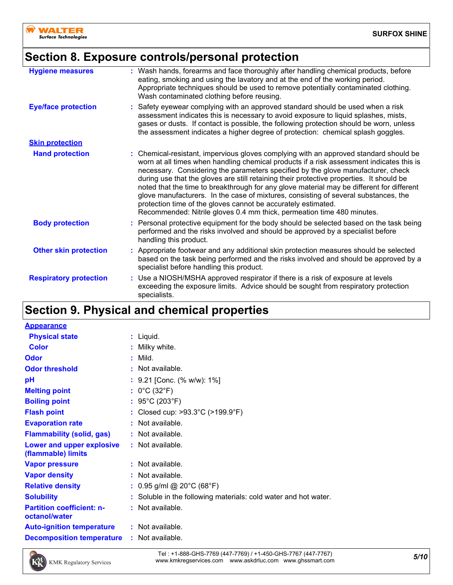

### **Section 8. Exposure controls/personal protection**

| <b>Hygiene measures</b>       | : Wash hands, forearms and face thoroughly after handling chemical products, before<br>eating, smoking and using the lavatory and at the end of the working period.<br>Appropriate techniques should be used to remove potentially contaminated clothing.<br>Wash contaminated clothing before reusing.                                                                                                                                                                                                                                                                                                                                                                                          |
|-------------------------------|--------------------------------------------------------------------------------------------------------------------------------------------------------------------------------------------------------------------------------------------------------------------------------------------------------------------------------------------------------------------------------------------------------------------------------------------------------------------------------------------------------------------------------------------------------------------------------------------------------------------------------------------------------------------------------------------------|
| <b>Eye/face protection</b>    | : Safety eyewear complying with an approved standard should be used when a risk<br>assessment indicates this is necessary to avoid exposure to liquid splashes, mists,<br>gases or dusts. If contact is possible, the following protection should be worn, unless<br>the assessment indicates a higher degree of protection: chemical splash goggles.                                                                                                                                                                                                                                                                                                                                            |
| <b>Skin protection</b>        |                                                                                                                                                                                                                                                                                                                                                                                                                                                                                                                                                                                                                                                                                                  |
| <b>Hand protection</b>        | : Chemical-resistant, impervious gloves complying with an approved standard should be<br>worn at all times when handling chemical products if a risk assessment indicates this is<br>necessary. Considering the parameters specified by the glove manufacturer, check<br>during use that the gloves are still retaining their protective properties. It should be<br>noted that the time to breakthrough for any glove material may be different for different<br>glove manufacturers. In the case of mixtures, consisting of several substances, the<br>protection time of the gloves cannot be accurately estimated.<br>Recommended: Nitrile gloves 0.4 mm thick, permeation time 480 minutes. |
| <b>Body protection</b>        | Personal protective equipment for the body should be selected based on the task being<br>performed and the risks involved and should be approved by a specialist before<br>handling this product.                                                                                                                                                                                                                                                                                                                                                                                                                                                                                                |
| <b>Other skin protection</b>  | : Appropriate footwear and any additional skin protection measures should be selected<br>based on the task being performed and the risks involved and should be approved by a<br>specialist before handling this product.                                                                                                                                                                                                                                                                                                                                                                                                                                                                        |
| <b>Respiratory protection</b> | Use a NIOSH/MSHA approved respirator if there is a risk of exposure at levels<br>exceeding the exposure limits. Advice should be sought from respiratory protection<br>specialists.                                                                                                                                                                                                                                                                                                                                                                                                                                                                                                              |

## **Section 9. Physical and chemical properties**

| <b>Appearance</b>                                 |                                                                 |
|---------------------------------------------------|-----------------------------------------------------------------|
| <b>Physical state</b>                             | : Liquid.                                                       |
| Color                                             | : Milky white.                                                  |
| Odor                                              | $:$ Mild.                                                       |
| <b>Odor threshold</b>                             | $\cdot$ Not available.                                          |
| рH                                                | : 9.21 [Conc. (% w/w): 1%]                                      |
| <b>Melting point</b>                              | : $0^{\circ}$ C (32 $^{\circ}$ F)                               |
| <b>Boiling point</b>                              | : 95°C (203°F)                                                  |
| <b>Flash point</b>                                | : Closed cup: >93.3°C (>199.9°F)                                |
| <b>Evaporation rate</b>                           | $:$ Not available.                                              |
| <b>Flammability (solid, gas)</b>                  | : Not available.                                                |
| Lower and upper explosive<br>(flammable) limits   | $:$ Not available.                                              |
| <b>Vapor pressure</b>                             | $:$ Not available.                                              |
| <b>Vapor density</b>                              | : Not available.                                                |
| <b>Relative density</b>                           | : $0.95$ g/ml @ 20°C (68°F)                                     |
| <b>Solubility</b>                                 | : Soluble in the following materials: cold water and hot water. |
| <b>Partition coefficient: n-</b><br>octanol/water | $:$ Not available.                                              |
| <b>Auto-ignition temperature</b>                  | $:$ Not available.                                              |
| <b>Decomposition temperature</b>                  | : Not available.                                                |



*5/10* Tel : +1-888-GHS-7769 (447-7769) / +1-450-GHS-7767 (447-7767) www.kmkregservices.com www.askdrluc.com www.ghssmart.com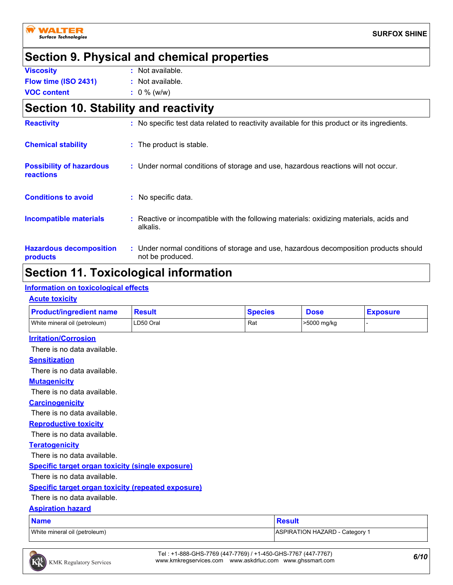

### **Section 9. Physical and chemical properties**

| <b>Viscosity</b>     | : Not available. |
|----------------------|------------------|
| Flow time (ISO 2431) | : Not available. |
| <b>VOC content</b>   | $: 0 \%$ (w/w)   |

### **Section 10. Stability and reactivity**

| <b>Reactivity</b>                            | : No specific test data related to reactivity available for this product or its ingredients.              |
|----------------------------------------------|-----------------------------------------------------------------------------------------------------------|
| <b>Chemical stability</b>                    | : The product is stable.                                                                                  |
| <b>Possibility of hazardous</b><br>reactions | : Under normal conditions of storage and use, hazardous reactions will not occur.                         |
| <b>Conditions to avoid</b>                   | : No specific data.                                                                                       |
| <b>Incompatible materials</b>                | : Reactive or incompatible with the following materials: oxidizing materials, acids and<br>alkalis.       |
| <b>Hazardous decomposition</b><br>products   | : Under normal conditions of storage and use, hazardous decomposition products should<br>not be produced. |

### **Section 11. Toxicological information**

#### **Information on toxicological effects**

#### **Acute toxicity**

| <b>Product/ingredient name</b>                            | <b>Result</b> | <b>Species</b> | <b>Dose</b>                           | <b>Exposure</b> |
|-----------------------------------------------------------|---------------|----------------|---------------------------------------|-----------------|
| White mineral oil (petroleum)                             | LD50 Oral     | Rat            | >5000 mg/kg                           |                 |
| <b>Irritation/Corrosion</b>                               |               |                |                                       |                 |
| There is no data available.                               |               |                |                                       |                 |
| <b>Sensitization</b>                                      |               |                |                                       |                 |
| There is no data available.                               |               |                |                                       |                 |
| <b>Mutagenicity</b>                                       |               |                |                                       |                 |
| There is no data available.                               |               |                |                                       |                 |
| <b>Carcinogenicity</b>                                    |               |                |                                       |                 |
| There is no data available.                               |               |                |                                       |                 |
| <b>Reproductive toxicity</b>                              |               |                |                                       |                 |
| There is no data available.                               |               |                |                                       |                 |
| <b>Teratogenicity</b>                                     |               |                |                                       |                 |
| There is no data available.                               |               |                |                                       |                 |
| <b>Specific target organ toxicity (single exposure)</b>   |               |                |                                       |                 |
| There is no data available.                               |               |                |                                       |                 |
| <b>Specific target organ toxicity (repeated exposure)</b> |               |                |                                       |                 |
| There is no data available.                               |               |                |                                       |                 |
| <b>Aspiration hazard</b>                                  |               |                |                                       |                 |
| <b>Name</b>                                               |               | <b>Result</b>  |                                       |                 |
| White mineral oil (petroleum)                             |               |                | <b>ASPIRATION HAZARD - Category 1</b> |                 |



*6/10* Tel : +1-888-GHS-7769 (447-7769) / +1-450-GHS-7767 (447-7767) www.kmkregservices.com www.askdrluc.com www.ghssmart.com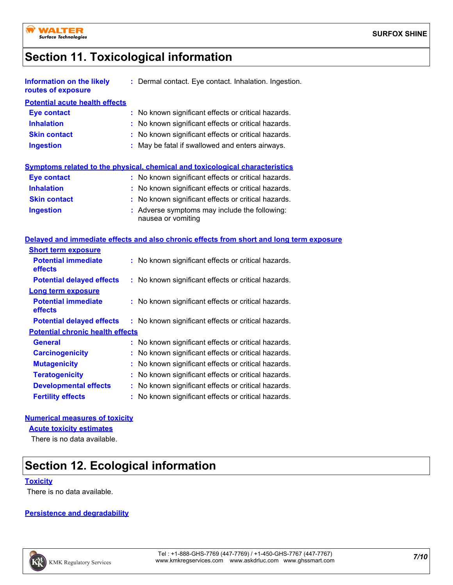

### **Section 11. Toxicological information**

| <b>Information on the likely</b><br>routes of exposure | : Dermal contact. Eye contact. Inhalation. Ingestion.                                    |
|--------------------------------------------------------|------------------------------------------------------------------------------------------|
| <b>Potential acute health effects</b>                  |                                                                                          |
| <b>Eye contact</b>                                     | : No known significant effects or critical hazards.                                      |
| <b>Inhalation</b>                                      | : No known significant effects or critical hazards.                                      |
| <b>Skin contact</b>                                    | : No known significant effects or critical hazards.                                      |
| <b>Ingestion</b>                                       | : May be fatal if swallowed and enters airways.                                          |
|                                                        | <b>Symptoms related to the physical, chemical and toxicological characteristics</b>      |
| Eye contact                                            | : No known significant effects or critical hazards.                                      |
| <b>Inhalation</b>                                      | : No known significant effects or critical hazards.                                      |
| <b>Skin contact</b>                                    | : No known significant effects or critical hazards.                                      |
| <b>Ingestion</b>                                       | : Adverse symptoms may include the following:<br>nausea or vomiting                      |
|                                                        | Delayed and immediate effects and also chronic effects from short and long term exposure |
| <b>Short term exposure</b>                             |                                                                                          |
| <b>Potential immediate</b><br>effects                  | : No known significant effects or critical hazards.                                      |
| <b>Potential delayed effects</b>                       | : No known significant effects or critical hazards.                                      |
| <b>Long term exposure</b>                              |                                                                                          |
|                                                        |                                                                                          |

| <b>Potential immediate</b><br>effects | : No known significant effects or critical hazards. |  |
|---------------------------------------|-----------------------------------------------------|--|
| <b>Potential delayed effects</b>      | : No known significant effects or critical hazards. |  |

#### **Potential chronic health effects**

| <b>General</b>               | : No known significant effects or critical hazards. |
|------------------------------|-----------------------------------------------------|
| <b>Carcinogenicity</b>       | : No known significant effects or critical hazards. |
| <b>Mutagenicity</b>          | : No known significant effects or critical hazards. |
| <b>Teratogenicity</b>        | : No known significant effects or critical hazards. |
| <b>Developmental effects</b> | : No known significant effects or critical hazards. |
| <b>Fertility effects</b>     | : No known significant effects or critical hazards. |

#### **Numerical measures of toxicity**

**Acute toxicity estimates**

There is no data available.

### **Section 12. Ecological information**

#### **Toxicity**

There is no data available.

#### **Persistence and degradability**

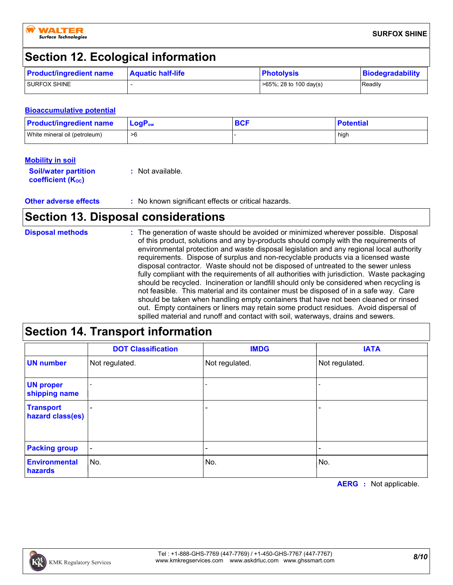

### **Section 12. Ecological information**

| <b>Product/ingredient name</b> | <b>Aquatic half-life</b> | <b>Photolysis</b>          | <b>Biodegradability</b> |
|--------------------------------|--------------------------|----------------------------|-------------------------|
| <b>I SURFOX SHINE</b>          |                          | $>65\%$ ; 28 to 100 day(s) | Readily                 |

#### **Bioaccumulative potential**

| <b>Product/ingredient name</b> | $\mathsf{LogP}_\mathsf{ow}$ | <b>DAD</b> | <b>Potential</b> |
|--------------------------------|-----------------------------|------------|------------------|
| White mineral oil (petroleum)  | >6                          |            | high             |

#### **Mobility in soil**

| <b>Soil/water partition</b> | $\therefore$ Not available. |
|-----------------------------|-----------------------------|
| <b>coefficient (Koc)</b>    |                             |

#### **Other adverse effects** : No known significant effects or critical hazards.

### **Section 13. Disposal considerations**

| <b>Disposal methods</b> | : The generation of waste should be avoided or minimized wherever possible. Disposal                                                                                          |
|-------------------------|-------------------------------------------------------------------------------------------------------------------------------------------------------------------------------|
|                         | of this product, solutions and any by-products should comply with the requirements of                                                                                         |
|                         | environmental protection and waste disposal legislation and any regional local authority<br>requirements. Dispose of surplus and non-recyclable products via a licensed waste |
|                         | disposal contractor. Waste should not be disposed of untreated to the sewer unless                                                                                            |
|                         | fully compliant with the requirements of all authorities with jurisdiction. Waste packaging                                                                                   |
|                         | should be recycled. Incineration or landfill should only be considered when recycling is                                                                                      |
|                         | not feasible. This material and its container must be disposed of in a safe way. Care                                                                                         |
|                         | should be taken when handling empty containers that have not been cleaned or rinsed                                                                                           |
|                         | out. Empty containers or liners may retain some product residues. Avoid dispersal of                                                                                          |
|                         | spilled material and runoff and contact with soil, waterways, drains and sewers.                                                                                              |

### **Section 14. Transport information**

|                                      | <b>DOT Classification</b> | <b>IMDG</b>    | <b>IATA</b>              |
|--------------------------------------|---------------------------|----------------|--------------------------|
| <b>UN number</b>                     | Not regulated.            | Not regulated. | Not regulated.           |
| <b>UN proper</b><br>shipping name    |                           |                |                          |
| <b>Transport</b><br>hazard class(es) | $\qquad \qquad$           |                | $\overline{\phantom{0}}$ |
| <b>Packing group</b>                 | $\blacksquare$            |                | $\overline{\phantom{a}}$ |
| <b>Environmental</b><br>hazards      | No.                       | No.            | No.                      |

**AERG :** Not applicable.

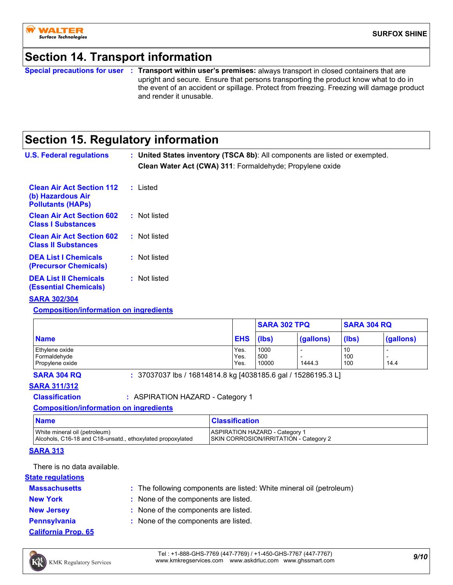

### **Section 14. Transport information**

**Special precautions for user Transport within user's premises:** always transport in closed containers that are **:** upright and secure. Ensure that persons transporting the product know what to do in the event of an accident or spillage. Protect from freezing. Freezing will damage product and render it unusable.

### **Section 15. Regulatory information**

| <b>U.S. Federal regulations</b>                                                   | : United States inventory (TSCA 8b): All components are listed or exempted.<br>Clean Water Act (CWA) 311: Formaldehyde; Propylene oxide |
|-----------------------------------------------------------------------------------|-----------------------------------------------------------------------------------------------------------------------------------------|
| <b>Clean Air Act Section 112</b><br>(b) Hazardous Air<br><b>Pollutants (HAPS)</b> | : Listed                                                                                                                                |
| <b>Clean Air Act Section 602</b><br><b>Class I Substances</b>                     | : Not listed                                                                                                                            |
| <b>Clean Air Act Section 602</b><br><b>Class II Substances</b>                    | : Not listed                                                                                                                            |
| <b>DEA List I Chemicals</b><br><b>(Precursor Chemicals)</b>                       | : Not listed                                                                                                                            |
| <b>DEA List II Chemicals</b><br>(Essential Chemicals)                             | : Not listed                                                                                                                            |

#### **SARA 302/304**

**Composition/information on ingredients**

|                                 |              | <b>SARA 302 TPQ</b> |           | <b>SARA 304 RQ</b> |           |
|---------------------------------|--------------|---------------------|-----------|--------------------|-----------|
| <b>Name</b>                     | <b>EHS</b>   | (lbs)               | (gallons) | (lbs)              | (gallons) |
| Ethylene oxide                  | Yes.         | 1000                |           | 10                 |           |
| Formaldehyde<br>Propylene oxide | Yes.<br>Yes. | 500<br>10000        | 1444.3    | 100<br>100         | 14.4      |

**SARA 304 RQ :** 37037037 lbs / 16814814.8 kg [4038185.6 gal / 15286195.3 L]

#### **SARA 311/312**

**Classification :** ASPIRATION HAZARD - Category 1

#### **Composition/information on ingredients**

| <b>Name</b>                                                | <b>Classification</b>                  |
|------------------------------------------------------------|----------------------------------------|
| White mineral oil (petroleum)                              | <b>ASPIRATION HAZARD - Category 1</b>  |
| Alcohols, C16-18 and C18-unsatd., ethoxylated propoxylated | SKIN CORROSION/IRRITATION - Category 2 |

#### **SARA 313**

There is no data available.

#### **State regulations**

- **Massachusetts**
- The following components are listed: White mineral oil (petroleum) **:**
- **New York :** None of the components are listed.
- 
- **New Jersey :** None of the components are listed. **Pennsylvania :** None of the components are listed.
- **California Prop. 65**